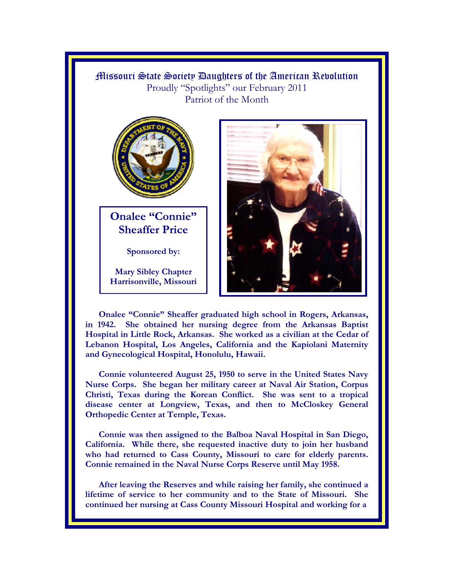## Missouri State Society Daughters of the American Revolution Proudly "Spotlights" our February 2011 Patriot of the Month



**Onalee "Connie" Sheaffer Price** 

**Sponsored by:** 

**Mary Sibley Chapter Harrisonville, Missouri** 



**Onalee "Connie" Sheaffer graduated high school in Rogers, Arkansas, in 1942. She obtained her nursing degree from the Arkansas Baptist Hospital in Little Rock, Arkansas. She worked as a civilian at the Cedar of Lebanon Hospital, Los Angeles, California and the Kapiolani Maternity and Gynecological Hospital, Honolulu, Hawaii.** 

**Connie volunteered August 25, 1950 to serve in the United States Navy Nurse Corps. She began her military career at Naval Air Station, Corpus Christi, Texas during the Korean Conflict. She was sent to a tropical disease center at Longview, Texas, and then to McCloskey General Orthopedic Center at Temple, Texas.** 

**Connie was then assigned to the Balboa Naval Hospital in San Diego, California. While there, she requested inactive duty to join her husband who had returned to Cass County, Missouri to care for elderly parents. Connie remained in the Naval Nurse Corps Reserve until May 1958.** 

**After leaving the Reserves and while raising her family, she continued a lifetime of service to her community and to the State of Missouri. She continued her nursing at Cass County Missouri Hospital and working for a**